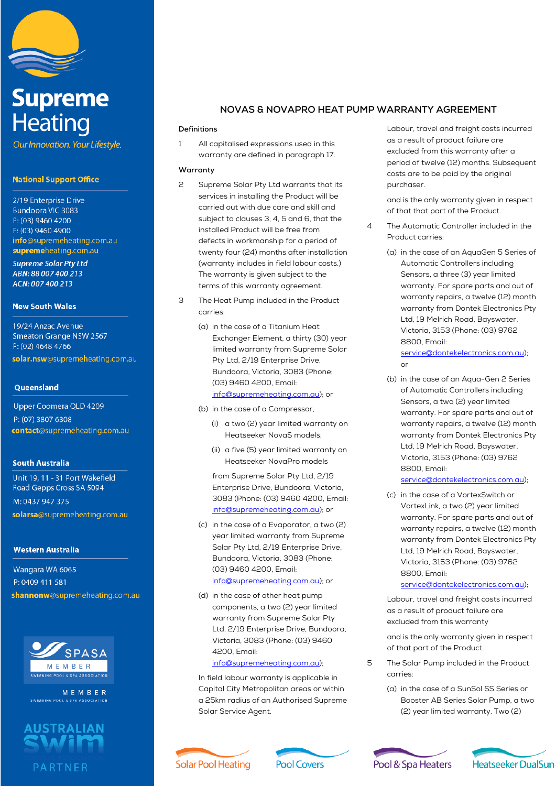

# **Supreme Heating**

Our Innovation. Your Lifestyle.

# **National Support Office**

2/19 Enterprise Drive Bundoora VIC 3083 P: (03) 9460 4200 F: (03) 9460 4900 info@supremeheating.com.au supremeheating.com.au

**Supreme Solar Pty Ltd** ABN: 88 007 400 213 ACN: 007 400 213

#### **New South Wales**

19/24 Anzac Avenue Smeaton Grange NSW 2567 P: (02) 4648 4766 solar.nsw@supremeheating.com.au

## **Queensland**

Upper Coomera QLD 4209 P: (07) 3807 6308 contact@supremeheating.com.au

## **South Australia**

Unit 19, 11 - 31 Port Wakefield Road Gepps Cross SA 5094 M: 0437 947 375 solarsa@supremeheating.com.au

## **Western Australia**

Wangara WA 6065 P: 0409 411 581 shannonw@supremeheating.com.au



MEMBER



# **NOVAS & NOVAPRO HEAT PUMP WARRANTY AGREEMENT**

#### **Definitions**

1 All capitalised expressions used in this warranty are defined in paragraph 17.

## **Warranty**

- 2 Supreme Solar Pty Ltd warrants that its services in installing the Product will be carried out with due care and skill and subject to clauses 3, 4, 5 and 6, that the installed Product will be free from defects in workmanship for a period of twenty four (24) months after installation (warranty includes in field labour costs.) The warranty is given subject to the terms of this warranty agreement.
- 3 The Heat Pump included in the Product carries:
	- (a) in the case of a Titanium Heat Exchanger Element, a thirty (30) year limited warranty from Supreme Solar Pty Ltd, 2/19 Enterprise Drive, Bundoora, Victoria, 3083 (Phone: (03) 9460 4200, Email: info@supremeheating.com.au); or
	- (b) in the case of a Compressor,
		- (i) a two (2) year limited warranty on Heatseeker NovaS models;
		- (ii) a five (5) year limited warranty on Heatseeker NovaPro models

from Supreme Solar Pty Ltd, 2/19 Enterprise Drive, Bundoora, Victoria, 3083 (Phone: (03) 9460 4200, Email: info@supremeheating.com.au); or

(c) in the case of a Evaporator, a two (2) year limited warranty from Supreme Solar Pty Ltd, 2/19 Enterprise Drive, Bundoora, Victoria, 3083 (Phone: (03) 9460 4200, Email:

# info@supremeheating.com.au); or

(d) in the case of other heat pump components, a two (2) year limited warranty from Supreme Solar Pty Ltd, 2/19 Enterprise Drive, Bundoora, Victoria, 3083 (Phone: (03) 9460 4200, Email:

#### info@supremeheating.com.au);

In field labour warranty is applicable in Capital City Metropolitan areas or within a 25km radius of an Authorised Supreme Solar Service Agent.

Labour, travel and freight costs incurred as a result of product failure are excluded from this warranty after a period of twelve (12) months. Subsequent costs are to be paid by the original purchaser.

and is the only warranty given in respect of that that part of the Product.

- 4 The Automatic Controller included in the Product carries:
	- (a) in the case of an AquaGen 5 Series of Automatic Controllers including Sensors, a three (3) year limited warranty. For spare parts and out of warranty repairs, a twelve (12) month warranty from Dontek Electronics Pty Ltd, 19 Melrich Road, Bayswater, Victoria, 3153 (Phone: (03) 9762 8800, Email: service@dontekelectronics.com.au);

or

(b) in the case of an Aqua-Gen 2 Series of Automatic Controllers including Sensors, a two (2) year limited warranty. For spare parts and out of warranty repairs, a twelve (12) month warranty from Dontek Electronics Pty Ltd, 19 Melrich Road, Bayswater, Victoria, 3153 (Phone: (03) 9762 8800, Email:

### service@dontekelectronics.com.au);

(c) in the case of a VortexSwitch or VortexLink, a two (2) year limited warranty. For spare parts and out of warranty repairs, a twelve (12) month warranty from Dontek Electronics Pty Ltd, 19 Melrich Road, Bayswater, Victoria, 3153 (Phone: (03) 9762 8800, Email:

## service@dontekelectronics.com.au);

Labour, travel and freight costs incurred as a result of product failure are excluded from this warranty

and is the only warranty given in respect of that part of the Product.

- 5 The Solar Pump included in the Product carries:
	- (a) in the case of a SunSol SS Series or Booster AB Series Solar Pump, a two (2) year limited warranty. Two (2)





Pool & Spa Heaters

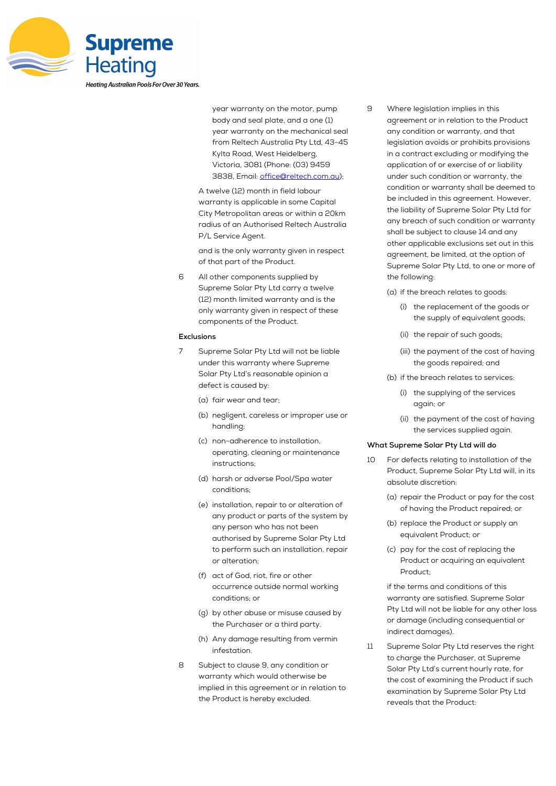

year warranty on the motor, pump body and seal plate, and a one (1) year warranty on the mechanical seal from Reltech Australia Pty Ltd, 43-45 Kylta Road, West Heidelberg, Victoria, 3081 (Phone: (03) 9459 3838, Email: office@reltech.com.au);

A twelve (12) month in field labour warranty is applicable in some Capital City Metropolitan areas or within a 20km radius of an Authorised Reltech Australia P/L Service Agent.

and is the only warranty given in respect of that part of the Product.

6 All other components supplied by Supreme Solar Pty Ltd carry a twelve (12) month limited warranty and is the only warranty given in respect of these components of the Product.

#### **Exclusions**

- 7 Supreme Solar Pty Ltd will not be liable under this warranty where Supreme Solar Pty Ltd's reasonable opinion a defect is caused by:
	- (a) fair wear and tear;
	- (b) negligent, careless or improper use or handling;
	- (c) non-adherence to installation, operating, cleaning or maintenance instructions;
	- (d) harsh or adverse Pool/Spa water conditions;
	- (e) installation, repair to or alteration of any product or parts of the system by any person who has not been authorised by Supreme Solar Pty Ltd to perform such an installation, repair or alteration;
	- (f) act of God, riot, fire or other occurrence outside normal working conditions; or
	- (g) by other abuse or misuse caused by the Purchaser or a third party.
	- (h) Any damage resulting from vermin infestation.
- 8 Subject to clause 9, any condition or warranty which would otherwise be implied in this agreement or in relation to the Product is hereby excluded.
- 9 Where legislation implies in this agreement or in relation to the Product any condition or warranty, and that legislation avoids or prohibits provisions in a contract excluding or modifying the application of or exercise of or liability under such condition or warranty, the condition or warranty shall be deemed to be included in this agreement. However, the liability of Supreme Solar Pty Ltd for any breach of such condition or warranty shall be subject to clause 14 and any other applicable exclusions set out in this agreement, be limited, at the option of Supreme Solar Pty Ltd, to one or more of the following:
	- (a) if the breach relates to goods:
		- (i) the replacement of the goods or the supply of equivalent goods;
		- (ii) the repair of such goods;
		- (iii) the payment of the cost of having the goods repaired; and
	- (b) if the breach relates to services:
		- (i) the supplying of the services again; or
		- (ii) the payment of the cost of having the services supplied again.

#### **What Supreme Solar Pty Ltd will do**

- 10 For defects relating to installation of the Product, Supreme Solar Pty Ltd will, in its absolute discretion:
	- (a) repair the Product or pay for the cost of having the Product repaired; or
	- (b) replace the Product or supply an equivalent Product; or
	- (c) pay for the cost of replacing the Product or acquiring an equivalent Product;

if the terms and conditions of this warranty are satisfied. Supreme Solar Pty Ltd will not be liable for any other loss or damage (including consequential or indirect damages).

11 Supreme Solar Pty Ltd reserves the right to charge the Purchaser, at Supreme Solar Pty Ltd's current hourly rate, for the cost of examining the Product if such examination by Supreme Solar Pty Ltd reveals that the Product: